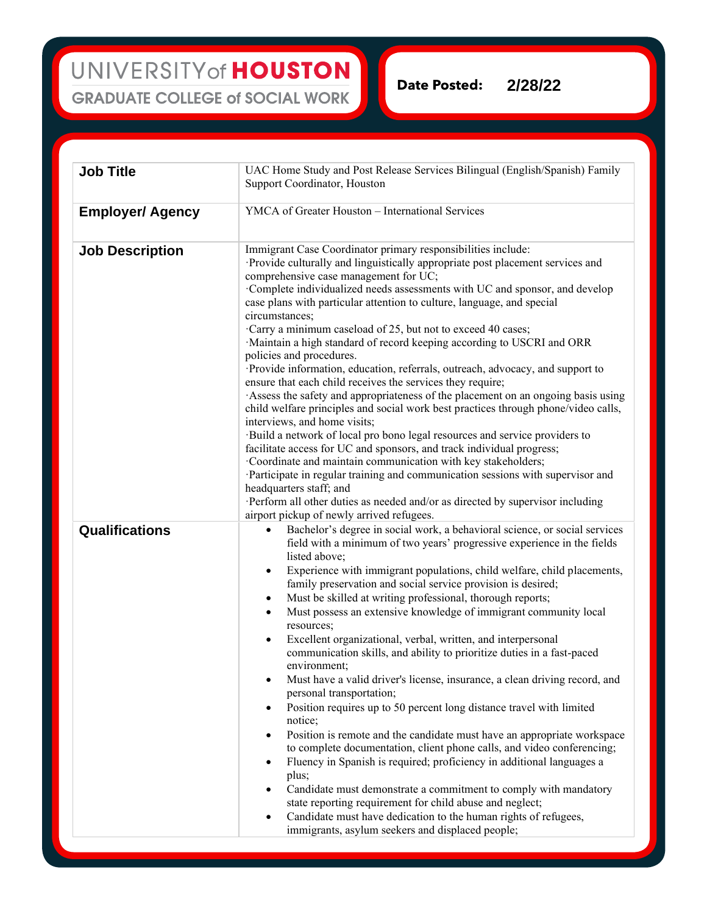UNIVERSITY of HOUSTON **GRADUATE COLLEGE of SOCIAL WORK** 

Date Posted: **2/28/22**

**Job Title** UAC Home Study and Post Release Services Bilingual (English/Spanish) Family Support Coordinator, Houston **Employer/ Agency** YMCA of Greater Houston – International Services **Job Description** Immigrant Case Coordinator primary responsibilities include: ·Provide culturally and linguistically appropriate post placement services and comprehensive case management for UC; ·Complete individualized needs assessments with UC and sponsor, and develop case plans with particular attention to culture, language, and special circumstances; ·Carry a minimum caseload of 25, but not to exceed 40 cases; ·Maintain a high standard of record keeping according to USCRI and ORR policies and procedures. ·Provide information, education, referrals, outreach, advocacy, and support to ensure that each child receives the services they require; ·Assess the safety and appropriateness of the placement on an ongoing basis using child welfare principles and social work best practices through phone/video calls, interviews, and home visits; ·Build a network of local pro bono legal resources and service providers to facilitate access for UC and sponsors, and track individual progress; ·Coordinate and maintain communication with key stakeholders; ·Participate in regular training and communication sessions with supervisor and headquarters staff; and ·Perform all other duties as needed and/or as directed by supervisor including airport pickup of newly arrived refugees. **Qualifications** • Bachelor's degree in social work, a behavioral science, or social services field with a minimum of two years' progressive experience in the fields listed above; • Experience with immigrant populations, child welfare, child placements, family preservation and social service provision is desired; Must be skilled at writing professional, thorough reports; • Must possess an extensive knowledge of immigrant community local resources; Excellent organizational, verbal, written, and interpersonal communication skills, and ability to prioritize duties in a fast-paced environment; • Must have a valid driver's license, insurance, a clean driving record, and personal transportation; Position requires up to 50 percent long distance travel with limited notice; Position is remote and the candidate must have an appropriate workspace to complete documentation, client phone calls, and video conferencing; • Fluency in Spanish is required; proficiency in additional languages a plus; • Candidate must demonstrate a commitment to comply with mandatory state reporting requirement for child abuse and neglect; Candidate must have dedication to the human rights of refugees, immigrants, asylum seekers and displaced people;